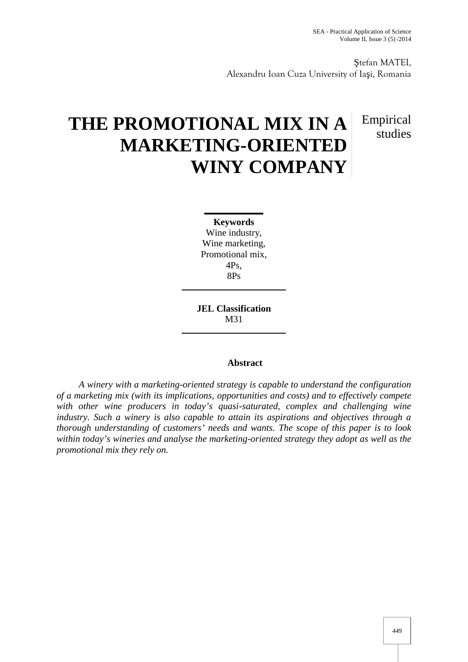tefan MATEI, Alexandru Ioan Cuza University of Ia i, Romania

# **THE PROMOTIONAL MIX IN A MARKETING-ORIENTED WINY COMPANY**

# Empirical studies

**Keywords** Wine industry, Wine marketing, Promotional mix, 4Ps, 8Ps

**JEL Classification** M31

# **Abstract**

*A winery with a marketing-oriented strategy is capable to understand the configuration of a marketing mix (with its implications, opportunities and costs) and to effectively compete with other wine producers in today's quasi-saturated, complex and challenging wine industry. Such a winery is also capable to attain its aspirations and objectives through a thorough understanding of customers' needs and wants. The scope of this paper is to look within today's wineries and analyse the marketing-oriented strategy they adopt as well as the promotional mix they rely on.*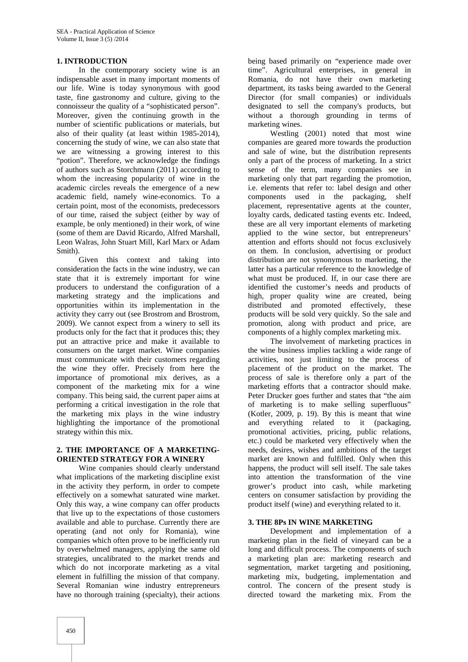### **1. INTRODUCTION**

In the contemporary society wine is an indispensable asset in many important moments of our life. Wine is today synonymous with good taste, fine gastronomy and culture, giving to the connoisseur the quality of a "sophisticated person". Moreover, given the continuing growth in the number of scientific publications or materials, but also of their quality (at least within 1985-2014), concerning the study of wine, we can also state that we are witnessing a growing interest to this "potion". Therefore, we acknowledge the findings of authors such as Storchmann (2011) according to whom the increasing popularity of wine in the academic circles reveals the emergence of a new academic field, namely wine-economics. To a certain point, most of the economists, predecessors of our time, raised the subject (either by way of example, be only mentioned) in their work, of wine (some of them are David Ricardo, Alfred Marshall, Leon Walras, John Stuart Mill, Karl Marx or Adam Smith).

Given this context and taking into consideration the facts in the wine industry, we can state that it is extremely important for wine producers to understand the configuration of a marketing strategy and the implications and opportunities within its implementation in the activity they carry out (see Brostrom and Brostrom, 2009). We cannot expect from a winery to sell its products only for the fact that it produces this; they put an attractive price and make it available to consumers on the target market. Wine companies must communicate with their customers regarding the wine they offer. Precisely from here the importance of promotional mix derives, as a component of the marketing mix for a wine company. This being said, the current paper aims at performing a critical investigation in the role that the marketing mix plays in the wine industry highlighting the importance of the promotional strategy within this mix.

#### **2. THE IMPORTANCE OF A MARKETING- ORIENTED STRATEGY FOR A WINERY**

Wine companies should clearly understand what implications of the marketing discipline exist in the activity they perform, in order to compete effectively on a somewhat saturated wine market. Only this way, a wine company can offer products that live up to the expectations of those customers available and able to purchase. Currently there are operating (and not only for Romania), wine companies which often prove to be inefficiently run by overwhelmed managers, applying the same old strategies, uncalibrated to the market trends and which do not incorporate marketing as a vital element in fulfilling the mission of that company. Several Romanian wine industry entrepreneurs have no thorough training (specialty), their actions

being based primarily on "experience made over time". Agricultural enterprises, in general in Romania, do not have their own marketing department, its tasks being awarded to the General Director (for small companies) or individuals designated to sell the company's products, but without a thorough grounding in terms of marketing wines.

Westling (2001) noted that most wine companies are geared more towards the production and sale of wine, but the distribution represents only a part of the process of marketing. In a strict sense of the term, many companies see in marketing only that part regarding the promotion, i.e. elements that refer to: label design and other components used in the packaging, shelf placement, representative agents at the counter, loyalty cards, dedicated tasting events etc. Indeed, these are all very important elements of marketing applied to the wine sector, but entrepreneurs' attention and efforts should not focus exclusively on them. In conclusion, advertising or product distribution are not synonymous to marketing, the latter has a particular reference to the knowledge of what must be produced. If, in our case there are identified the customer's needs and products of high, proper quality wine are created, being distributed and promoted effectively, these products will be sold very quickly. So the sale and promotion, along with product and price, are components of a highly complex marketing mix.

The involvement of marketing practices in the wine business implies tackling a wide range of activities, not just limiting to the process of placement of the product on the market. The process of sale is therefore only a part of the marketing efforts that a contractor should make. Peter Drucker goes further and states that "the aim of marketing is to make selling superfluous" (Kotler, 2009, p. 19). By this is meant that wine and everything related to it (packaging, promotional activities, pricing, public relations, etc.) could be marketed very effectively when the needs, desires, wishes and ambitions of the target market are known and fulfilled. Only when this happens, the product will sell itself. The sale takes into attention the transformation of the vine grower's product into cash, while marketing centers on consumer satisfaction by providing the product itself (wine) and everything related to it.

#### **3. THE 8Ps IN WINE MARKETING**

Development and implementation of a marketing plan in the field of vineyard can be a long and difficult process. The components of such a marketing plan are: marketing research and segmentation, market targeting and positioning, marketing mix, budgeting, implementation and control. The concern of the present study is directed toward the marketing mix. From the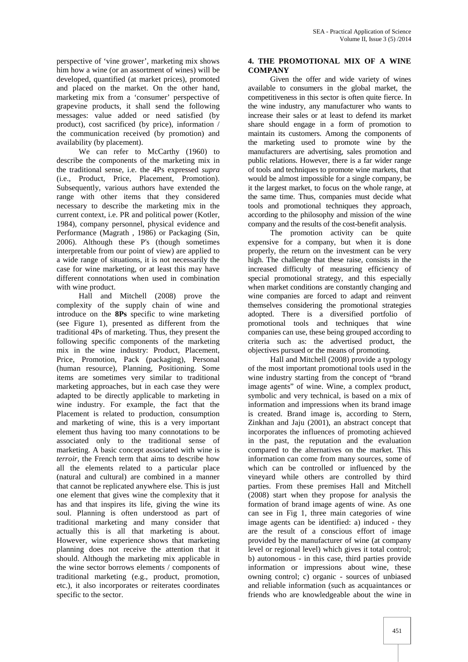perspective of 'vine grower', marketing mix shows him how a wine (or an assortment of wines) will be developed, quantified (at market prices), promoted and placed on the market. On the other hand, marketing mix from a 'consumer' perspective of grapevine products, it shall send the following messages: value added or need satisfied (by product), cost sacrificed (by price), information / the communication received (by promotion) and availability (by placement).

We can refer to McCarthy (1960) to describe the components of the marketing mix in the traditional sense, i.e. the 4Ps expressed *supra* (i.e., Product, Price, Placement, Promotion). Subsequently, various authors have extended the range with other items that they considered necessary to describe the marketing mix in the current context, i.e. PR and political power (Kotler, 1984), company personnel, physical evidence and Performance (Magrath , 1986) or Packaging (Sin, 2006). Although these P's (though sometimes interpretable from our point of view) are applied to a wide range of situations, it is not necessarily the case for wine marketing, or at least this may have different connotations when used in combination with wine product.

Hall and Mitchell (2008) prove the complexity of the supply chain of wine and introduce on the **8Ps** specific to wine marketing (see Figure 1), presented as different from the traditional 4Ps of marketing. Thus, they present the following specific components of the marketing mix in the wine industry: Product, Placement, Price, Promotion, Pack (packaging), Personal (human resource), Planning, Positioning. Some items are sometimes very similar to traditional marketing approaches, but in each case they were adapted to be directly applicable to marketing in wine industry. For example, the fact that the Placement is related to production, consumption and marketing of wine, this is a very important element thus having too many connotations to be associated only to the traditional sense of marketing. A basic concept associated with wine is *terroir*, the French term that aims to describe how all the elements related to a particular place (natural and cultural) are combined in a manner that cannot be replicated anywhere else. This is just one element that gives wine the complexity that it has and that inspires its life, giving the wine its soul. Planning is often understood as part of traditional marketing and many consider that actually this is all that marketing is about. However, wine experience shows that marketing planning does not receive the attention that it should. Although the marketing mix applicable in the wine sector borrows elements / components of traditional marketing (e.g., product, promotion, etc.), it also incorporates or reiterates coordinates specific to the sector.

# **4. THE PROMOTIONAL MIX OF A WINE COMPANY**

Given the offer and wide variety of wines available to consumers in the global market, the competitiveness in this sector is often quite fierce. In the wine industry, any manufacturer who wants to increase their sales or at least to defend its market share should engage in a form of promotion to maintain its customers. Among the components of the marketing used to promote wine by the manufacturers are advertising, sales promotion and public relations. However, there is a far wider range of tools and techniques to promote wine markets, that would be almost impossible for a single company, be it the largest market, to focus on the whole range, at the same time. Thus, companies must decide what tools and promotional techniques they approach, according to the philosophy and mission of the wine company and the results of the cost-benefit analysis.

The promotion activity can be quite expensive for a company, but when it is done properly, the return on the investment can be very high. The challenge that these raise, consists in the increased difficulty of measuring efficiency of special promotional strategy, and this especially when market conditions are constantly changing and wine companies are forced to adapt and reinvent themselves considering the promotional strategies adopted. There is a diversified portfolio of promotional tools and techniques that wine companies can use, these being grouped according to criteria such as: the advertised product, the objectives pursued or the means of promoting.

Hall and Mitchell (2008) provide a typology of the most important promotional tools used in the wine industry starting from the concept of "brand image agents" of wine. Wine, a complex product, symbolic and very technical, is based on a mix of information and impressions when its brand image is created. Brand image is, according to Stern, Zinkhan and Jaju (2001), an abstract concept that incorporates the influences of promoting achieved in the past, the reputation and the evaluation compared to the alternatives on the market. This information can come from many sources, some of which can be controlled or influenced by the vineyard while others are controlled by third parties. From these premises Hall and Mitchell (2008) start when they propose for analysis the formation of brand image agents of wine. As one can see in Fig 1, three main categories of wine image agents can be identified: a) induced - they are the result of a conscious effort of image provided by the manufacturer of wine (at company level or regional level) which gives it total control; b) autonomous - in this case, third parties provide information or impressions about wine, these owning control; c) organic - sources of unbiased and reliable information (such as acquaintances or friends who are knowledgeable about the wine in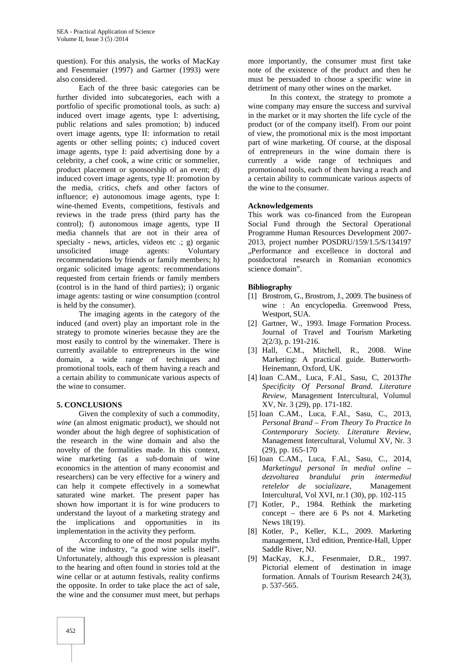question). For this analysis, the works of MacKay and Fesenmaier (1997) and Gartner (1993) were also considered.

Each of the three basic categories can be further divided into subcategories, each with a portfolio of specific promotional tools, as such: a) induced overt image agents, type I: advertising, public relations and sales promotion; b) induced overt image agents, type II: information to retail agents or other selling points; c) induced covert image agents, type I: paid advertising done by a celebrity, a chef cook, a wine critic or sommelier, product placement or sponsorship of an event; d) induced covert image agents, type II: promotion by the media, critics, chefs and other factors of influence; e) autonomous image agents, type I: wine-themed Events, competitions, festivals and reviews in the trade press (third party has the control); f) autonomous image agents, type II media channels that are not in their area of specialty - news, articles, videos etc .; g) organic unsolicited image agents: Voluntary recommendations by friends or family members; h) organic solicited image agents: recommendations requested from certain friends or family members (control is in the hand of third parties); i) organic image agents: tasting or wine consumption (control is held by the consumer).

The imaging agents in the category of the induced (and overt) play an important role in the strategy to promote wineries because they are the most easily to control by the winemaker. There is currently available to entrepreneurs in the wine domain, a wide range of techniques and promotional tools, each of them having a reach and a certain ability to communicate various aspects of the wine to consumer.

#### **5. CONCLUSIONS**

Given the complexity of such a commodity, *wine* (an almost enigmatic product), we should not wonder about the high degree of sophistication of the research in the wine domain and also the novelty of the formalities made. In this context, wine marketing (as a sub-domain of wine economics in the attention of many economist and researchers) can be very effective for a winery and can help it compete effectively in a somewhat saturated wine market. The present paper has shown how important it is for wine producers to understand the layout of a marketing strategy and the implications and opportunities in its implementation in the activity they perform.

According to one of the most popular myths of the wine industry, "a good wine sells itself". Unfortunately, although this expression is pleasant to the hearing and often found in stories told at the wine cellar or at autumn festivals, reality confirms the opposite. In order to take place the act of sale, the wine and the consumer must meet, but perhaps

more importantly, the consumer must first take note of the existence of the product and then he must be persuaded to choose a specific wine in detriment of many other wines on the market.

In this context, the strategy to promote a wine company may ensure the success and survival in the market or it may shorten the life cycle of the product (or of the company itself). From our point of view, the promotional mix is the most important part of wine marketing. Of course, at the disposal of entrepreneurs in the wine domain there is currently a wide range of techniques and promotional tools, each of them having a reach and a certain ability to communicate various aspects of the wine to the consumer.

#### **Acknowledgements**

This work was co-financed from the European Social Fund through the Sectoral Operational Programme Human Resources Development 2007- 2013, project number POSDRU/159/1.5/S/134197 "Performance and excellence in doctoral and postdoctoral research in Romanian economics science domain".

#### **Bibliography**

- [1] Brostrom, G., Brostrom, J., 2009. The business of wine : An encyclopedia. Greenwood Press, Westport, SUA.
- [2] Gartner, W., 1993. Image Formation Process. Journal of Travel and Tourism Marketing 2(2/3), p. 191-216.
- [3] Hall, C.M., Mitchell, R., 2008. Wine Marketing: A practical guide. Butterworth- Heinemann, Oxford, UK.
- [4] Ioan C.AM., Luca, F.Al., Sasu, C, 2013*The Specificity Of Personal Brand. Literature Review*, Management Intercultural, Volumul XV, Nr. 3 (29), pp. 171-182.
- [5] Ioan C.AM., Luca, F.Al., Sasu, C., 2013, *Personal Brand – From Theory To Practice In Contemporary Society. Literature Review*, Management Intercultural, Volumul XV, Nr. 3 (29), pp. 165-170
- [6] Ioan C.AM., Luca, F.Al., Sasu, C., 2014, *Marketingul personal în mediul online –*  $dez$ voltarea brandului prin *retelelor de socializare*, Management Intercultural, Vol XVI, nr.1 (30), pp. 102-115
- [7] Kotler, P., 1984. Rethink the marketing concept – there are 6 Ps not 4. Marketing News 18(19).
- [8] Kotler, P., Keller, K.L., 2009. Marketing management, 13rd edition, Prentice-Hall, Upper Saddle River, NJ.
- [9] MacKay, K.J., Fesenmaier, D.R., 1997. Pictorial element of destination in image formation. Annals of Tourism Research 24(3), p. 537-565.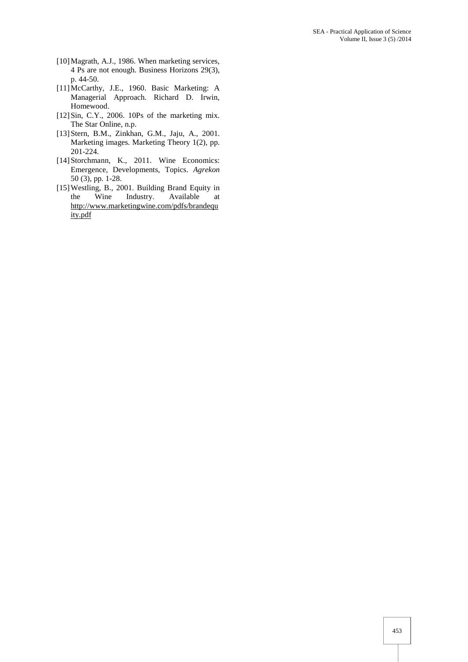- [10]Magrath, A.J., 1986. When marketing services, 4 Ps are not enough. Business Horizons 29(3), p. 44-50.
- [11]McCarthy, J.E., 1960. Basic Marketing: A Managerial Approach. Richard D. Irwin, Homewood.
- [12]Sin, C.Y., 2006. 10Ps of the marketing mix. The Star Online, n.p.
- [13]Stern, B.M., Zinkhan, G.M., Jaju, A., 2001. Marketing images. Marketing Theory 1(2), pp. 201-224.
- [14]Storchmann, K., 2011. Wine Economics: Emergence, Developments, Topics. *Agrekon* 50 (3), pp. 1-28.
- [15]Westling, B., 2001. Building Brand Equity in the Wine Industry. Available at http://www.marketingwine.com/pdfs/brandequ ity.pdf